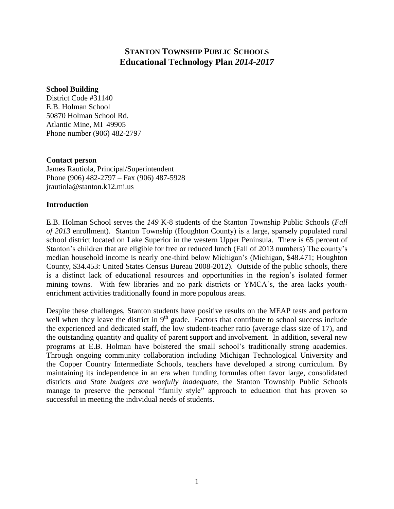# **STANTON TOWNSHIP PUBLIC SCHOOLS Educational Technology Plan** *2014-2017*

#### **School Building**

District Code #31140 E.B. Holman School 50870 Holman School Rd. Atlantic Mine, MI 49905 Phone number (906) 482-2797

#### **Contact person**

James Rautiola, Principal/Superintendent Phone (906) 482-2797 – Fax (906) 487-5928 jrautiola@stanton.k12.mi.us

#### **Introduction**

E.B. Holman School serves the *149* K-8 students of the Stanton Township Public Schools (*Fall of 2013* enrollment). Stanton Township (Houghton County) is a large, sparsely populated rural school district located on Lake Superior in the western Upper Peninsula. There is 65 percent of Stanton's children that are eligible for free or reduced lunch (Fall of 2013 numbers) The county's median household income is nearly one-third below Michigan's (Michigan, \$48.471; Houghton County, \$34.453: United States Census Bureau 2008-2012). Outside of the public schools, there is a distinct lack of educational resources and opportunities in the region's isolated former mining towns. With few libraries and no park districts or YMCA's, the area lacks youthenrichment activities traditionally found in more populous areas.

Despite these challenges, Stanton students have positive results on the MEAP tests and perform well when they leave the district in  $9<sup>th</sup>$  grade. Factors that contribute to school success include the experienced and dedicated staff, the low student-teacher ratio (average class size of 17), and the outstanding quantity and quality of parent support and involvement. In addition, several new programs at E.B. Holman have bolstered the small school's traditionally strong academics. Through ongoing community collaboration including Michigan Technological University and the Copper Country Intermediate Schools, teachers have developed a strong curriculum. By maintaining its independence in an era when funding formulas often favor large, consolidated districts *and State budgets are woefully inadequate*, the Stanton Township Public Schools manage to preserve the personal "family style" approach to education that has proven so successful in meeting the individual needs of students.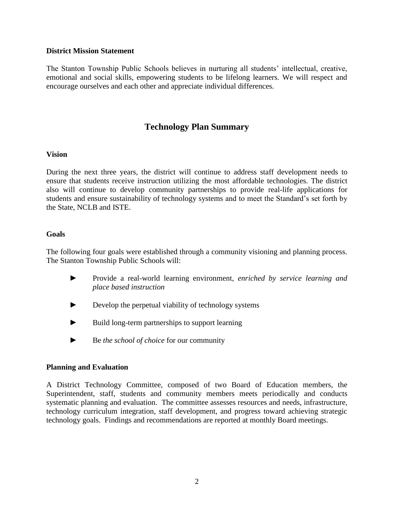#### **District Mission Statement**

The Stanton Township Public Schools believes in nurturing all students' intellectual, creative, emotional and social skills, empowering students to be lifelong learners. We will respect and encourage ourselves and each other and appreciate individual differences.

# **Technology Plan Summary**

#### **Vision**

During the next three years, the district will continue to address staff development needs to ensure that students receive instruction utilizing the most affordable technologies. The district also will continue to develop community partnerships to provide real-life applications for students and ensure sustainability of technology systems and to meet the Standard's set forth by the State, NCLB and ISTE.

#### **Goals**

The following four goals were established through a community visioning and planning process. The Stanton Township Public Schools will:

- ► Provide a real-world learning environment, *enriched by service learning and place based instruction*
- ► Develop the perpetual viability of technology systems
- ► Build long-term partnerships to support learning
- ► Be *the school of choice* for our community

#### **Planning and Evaluation**

A District Technology Committee, composed of two Board of Education members, the Superintendent, staff, students and community members meets periodically and conducts systematic planning and evaluation. The committee assesses resources and needs, infrastructure, technology curriculum integration, staff development, and progress toward achieving strategic technology goals. Findings and recommendations are reported at monthly Board meetings.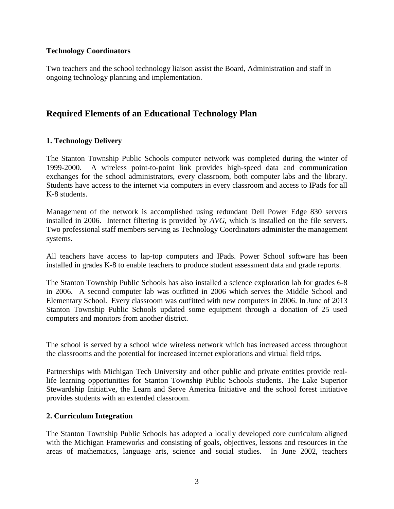## **Technology Coordinators**

Two teachers and the school technology liaison assist the Board, Administration and staff in ongoing technology planning and implementation.

# **Required Elements of an Educational Technology Plan**

# **1. Technology Delivery**

The Stanton Township Public Schools computer network was completed during the winter of 1999-2000. A wireless point-to-point link provides high-speed data and communication exchanges for the school administrators, every classroom, both computer labs and the library. Students have access to the internet via computers in every classroom and access to IPads for all K-8 students.

Management of the network is accomplished using redundant Dell Power Edge 830 servers installed in 2006. Internet filtering is provided by *AVG*, which is installed on the file servers. Two professional staff members serving as Technology Coordinators administer the management systems.

All teachers have access to lap-top computers and IPads. Power School software has been installed in grades K-8 to enable teachers to produce student assessment data and grade reports.

The Stanton Township Public Schools has also installed a science exploration lab for grades 6-8 in 2006. A second computer lab was outfitted in 2006 which serves the Middle School and Elementary School. Every classroom was outfitted with new computers in 2006. In June of 2013 Stanton Township Public Schools updated some equipment through a donation of 25 used computers and monitors from another district.

The school is served by a school wide wireless network which has increased access throughout the classrooms and the potential for increased internet explorations and virtual field trips.

Partnerships with Michigan Tech University and other public and private entities provide reallife learning opportunities for Stanton Township Public Schools students. The Lake Superior Stewardship Initiative, the Learn and Serve America Initiative and the school forest initiative provides students with an extended classroom.

# **2. Curriculum Integration**

The Stanton Township Public Schools has adopted a locally developed core curriculum aligned with the Michigan Frameworks and consisting of goals, objectives, lessons and resources in the areas of mathematics, language arts, science and social studies. In June 2002, teachers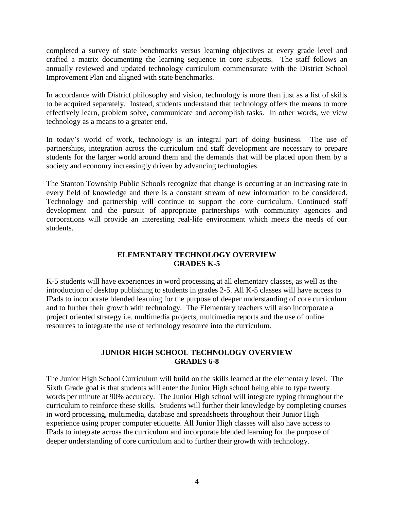completed a survey of state benchmarks versus learning objectives at every grade level and crafted a matrix documenting the learning sequence in core subjects. The staff follows an annually reviewed and updated technology curriculum commensurate with the District School Improvement Plan and aligned with state benchmarks.

In accordance with District philosophy and vision, technology is more than just as a list of skills to be acquired separately. Instead, students understand that technology offers the means to more effectively learn, problem solve, communicate and accomplish tasks. In other words, we view technology as a means to a greater end.

In today's world of work, technology is an integral part of doing business. The use of partnerships, integration across the curriculum and staff development are necessary to prepare students for the larger world around them and the demands that will be placed upon them by a society and economy increasingly driven by advancing technologies.

The Stanton Township Public Schools recognize that change is occurring at an increasing rate in every field of knowledge and there is a constant stream of new information to be considered. Technology and partnership will continue to support the core curriculum. Continued staff development and the pursuit of appropriate partnerships with community agencies and corporations will provide an interesting real-life environment which meets the needs of our students.

# **ELEMENTARY TECHNOLOGY OVERVIEW GRADES K-5**

K-5 students will have experiences in word processing at all elementary classes, as well as the introduction of desktop publishing to students in grades 2-5. All K-5 classes will have access to IPads to incorporate blended learning for the purpose of deeper understanding of core curriculum and to further their growth with technology. The Elementary teachers will also incorporate a project oriented strategy i.e. multimedia projects, multimedia reports and the use of online resources to integrate the use of technology resource into the curriculum.

# **JUNIOR HIGH SCHOOL TECHNOLOGY OVERVIEW GRADES 6-8**

The Junior High School Curriculum will build on the skills learned at the elementary level. The Sixth Grade goal is that students will enter the Junior High school being able to type twenty words per minute at 90% accuracy. The Junior High school will integrate typing throughout the curriculum to reinforce these skills. Students will further their knowledge by completing courses in word processing, multimedia, database and spreadsheets throughout their Junior High experience using proper computer etiquette. All Junior High classes will also have access to IPads to integrate across the curriculum and incorporate blended learning for the purpose of deeper understanding of core curriculum and to further their growth with technology.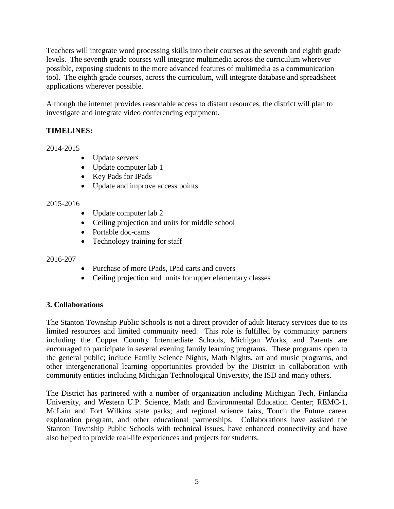Teachers will integrate word processing skills into their courses at the seventh and eighth grade levels. The seventh grade courses will integrate multimedia across the curriculum wherever possible, exposing students to the more advanced features of multimedia as a communication tool. The eighth grade courses, across the curriculum, will integrate database and spreadsheet applications wherever possible.

Although the internet provides reasonable access to distant resources, the district will plan to investigate and integrate video conferencing equipment.

# **TIMELINES:**

2014-2015

- Update servers
- Update computer lab 1
- Key Pads for IPads
- Update and improve access points

## 2015-2016

- Update computer lab 2
- Ceiling projection and units for middle school
- Portable doc-cams
- Technology training for staff

#### 2016-207

- Purchase of more IPads, IPad carts and covers
- Ceiling projection and units for upper elementary classes

# **3. Collaborations**

The Stanton Township Public Schools is not a direct provider of adult literacy services due to its limited resources and limited community need. This role is fulfilled by community partners including the Copper Country Intermediate Schools, Michigan Works, and Parents are encouraged to participate in several evening family learning programs. These programs open to the general public; include Family Science Nights, Math Nights, art and music programs, and other intergenerational learning opportunities provided by the District in collaboration with community entities including Michigan Technological University, the ISD and many others.

The District has partnered with a number of organization including Michigan Tech, Finlandia University, and Western U.P. Science, Math and Environmental Education Center; REMC-1, McLain and Fort Wilkins state parks; and regional science fairs, Touch the Future career exploration program, and other educational partnerships. Collaborations have assisted the Stanton Township Public Schools with technical issues, have enhanced connectivity and have also helped to provide real-life experiences and projects for students.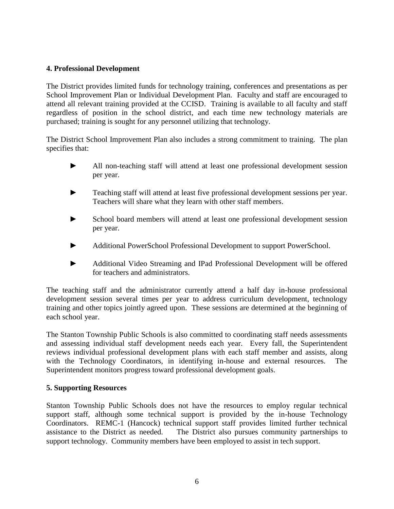## **4. Professional Development**

The District provides limited funds for technology training, conferences and presentations as per School Improvement Plan or Individual Development Plan. Faculty and staff are encouraged to attend all relevant training provided at the CCISD. Training is available to all faculty and staff regardless of position in the school district, and each time new technology materials are purchased; training is sought for any personnel utilizing that technology.

The District School Improvement Plan also includes a strong commitment to training. The plan specifies that:

- ► All non-teaching staff will attend at least one professional development session per year.
- Teaching staff will attend at least five professional development sessions per year. Teachers will share what they learn with other staff members.
- School board members will attend at least one professional development session per year.
- ► Additional PowerSchool Professional Development to support PowerSchool.
- ► Additional Video Streaming and IPad Professional Development will be offered for teachers and administrators.

The teaching staff and the administrator currently attend a half day in-house professional development session several times per year to address curriculum development, technology training and other topics jointly agreed upon. These sessions are determined at the beginning of each school year.

The Stanton Township Public Schools is also committed to coordinating staff needs assessments and assessing individual staff development needs each year. Every fall, the Superintendent reviews individual professional development plans with each staff member and assists, along with the Technology Coordinators, in identifying in-house and external resources. The Superintendent monitors progress toward professional development goals.

#### **5. Supporting Resources**

Stanton Township Public Schools does not have the resources to employ regular technical support staff, although some technical support is provided by the in-house Technology Coordinators. REMC-1 (Hancock) technical support staff provides limited further technical assistance to the District as needed. The District also pursues community partnerships to support technology. Community members have been employed to assist in tech support.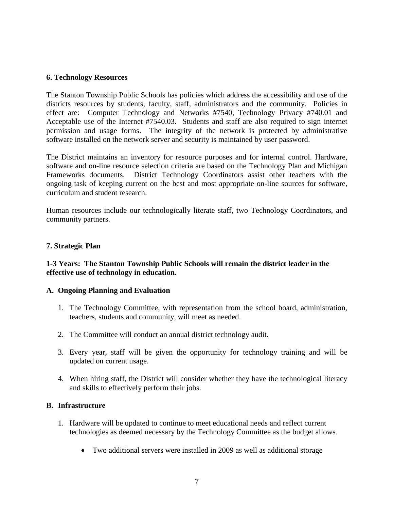#### **6. Technology Resources**

The Stanton Township Public Schools has policies which address the accessibility and use of the districts resources by students, faculty, staff, administrators and the community. Policies in effect are: Computer Technology and Networks #7540, Technology Privacy #740.01 and Acceptable use of the Internet #7540.03. Students and staff are also required to sign internet permission and usage forms. The integrity of the network is protected by administrative software installed on the network server and security is maintained by user password.

The District maintains an inventory for resource purposes and for internal control. Hardware, software and on-line resource selection criteria are based on the Technology Plan and Michigan Frameworks documents. District Technology Coordinators assist other teachers with the ongoing task of keeping current on the best and most appropriate on-line sources for software, curriculum and student research.

Human resources include our technologically literate staff, two Technology Coordinators, and community partners.

#### **7. Strategic Plan**

## **1-3 Years: The Stanton Township Public Schools will remain the district leader in the effective use of technology in education.**

#### **A. Ongoing Planning and Evaluation**

- 1. The Technology Committee, with representation from the school board, administration, teachers, students and community, will meet as needed.
- 2. The Committee will conduct an annual district technology audit.
- 3. Every year, staff will be given the opportunity for technology training and will be updated on current usage.
- 4. When hiring staff, the District will consider whether they have the technological literacy and skills to effectively perform their jobs.

#### **B. Infrastructure**

- 1. Hardware will be updated to continue to meet educational needs and reflect current technologies as deemed necessary by the Technology Committee as the budget allows.
	- Two additional servers were installed in 2009 as well as additional storage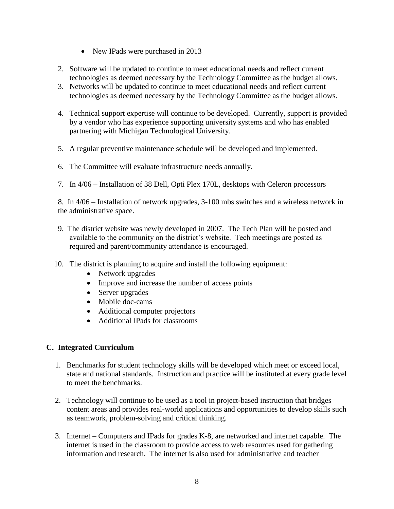- New IPads were purchased in 2013
- 2. Software will be updated to continue to meet educational needs and reflect current technologies as deemed necessary by the Technology Committee as the budget allows.
- 3. Networks will be updated to continue to meet educational needs and reflect current technologies as deemed necessary by the Technology Committee as the budget allows.
- 4. Technical support expertise will continue to be developed. Currently, support is provided by a vendor who has experience supporting university systems and who has enabled partnering with Michigan Technological University.
- 5. A regular preventive maintenance schedule will be developed and implemented.
- 6. The Committee will evaluate infrastructure needs annually.
- 7. In 4/06 Installation of 38 Dell, Opti Plex 170L, desktops with Celeron processors

8. In 4/06 – Installation of network upgrades, 3-100 mbs switches and a wireless network in the administrative space.

- 9. The district website was newly developed in 2007. The Tech Plan will be posted and available to the community on the district's website. Tech meetings are posted as required and parent/community attendance is encouraged.
- 10. The district is planning to acquire and install the following equipment:
	- Network upgrades
	- Improve and increase the number of access points
	- Server upgrades
	- Mobile doc-cams
	- Additional computer projectors
	- Additional IPads for classrooms

# **C. Integrated Curriculum**

- 1. Benchmarks for student technology skills will be developed which meet or exceed local, state and national standards. Instruction and practice will be instituted at every grade level to meet the benchmarks.
- 2. Technology will continue to be used as a tool in project-based instruction that bridges content areas and provides real-world applications and opportunities to develop skills such as teamwork, problem-solving and critical thinking.
- 3. Internet Computers and IPads for grades K-8, are networked and internet capable. The internet is used in the classroom to provide access to web resources used for gathering information and research. The internet is also used for administrative and teacher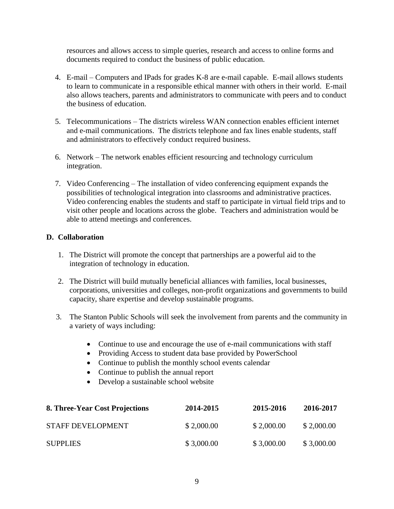resources and allows access to simple queries, research and access to online forms and documents required to conduct the business of public education.

- 4. E-mail Computers and IPads for grades K-8 are e-mail capable. E-mail allows students to learn to communicate in a responsible ethical manner with others in their world. E-mail also allows teachers, parents and administrators to communicate with peers and to conduct the business of education.
- 5. Telecommunications The districts wireless WAN connection enables efficient internet and e-mail communications. The districts telephone and fax lines enable students, staff and administrators to effectively conduct required business.
- 6. Network The network enables efficient resourcing and technology curriculum integration.
- 7. Video Conferencing The installation of video conferencing equipment expands the possibilities of technological integration into classrooms and administrative practices. Video conferencing enables the students and staff to participate in virtual field trips and to visit other people and locations across the globe. Teachers and administration would be able to attend meetings and conferences.

# **D. Collaboration**

- 1. The District will promote the concept that partnerships are a powerful aid to the integration of technology in education.
- 2. The District will build mutually beneficial alliances with families, local businesses, corporations, universities and colleges, non-profit organizations and governments to build capacity, share expertise and develop sustainable programs.
- 3. The Stanton Public Schools will seek the involvement from parents and the community in a variety of ways including:
	- Continue to use and encourage the use of e-mail communications with staff
	- Providing Access to student data base provided by PowerSchool
	- Continue to publish the monthly school events calendar
	- Continue to publish the annual report
	- Develop a sustainable school website

| 8. Three-Year Cost Projections | 2014-2015  | 2015-2016  | 2016-2017  |
|--------------------------------|------------|------------|------------|
| <b>STAFF DEVELOPMENT</b>       | \$2,000.00 | \$2,000.00 | \$2,000.00 |
| <b>SUPPLIES</b>                | \$3,000.00 | \$3,000.00 | \$3,000.00 |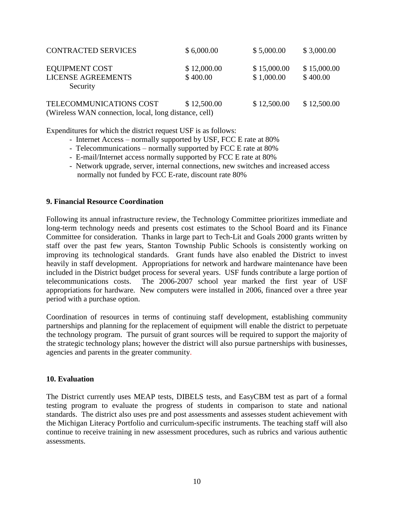| <b>CONTRACTED SERVICES</b>                            | \$6,000.00  | \$5,000.00  | \$3,000.00  |
|-------------------------------------------------------|-------------|-------------|-------------|
| <b>EQUIPMENT COST</b>                                 | \$12,000.00 | \$15,000.00 | \$15,000.00 |
| <b>LICENSE AGREEMENTS</b><br>Security                 | \$400.00    | \$1,000.00  | \$400.00    |
| TELECOMMUNICATIONS COST                               | \$12,500.00 | \$12,500.00 | \$12,500.00 |
| (Wireless WAN connection, local, long distance, cell) |             |             |             |

Expenditures for which the district request USF is as follows:

- Internet Access normally supported by USF, FCC E rate at 80%
- Telecommunications normally supported by FCC E rate at 80%
- E-mail/Internet access normally supported by FCC E rate at 80%
- Network upgrade, server, internal connections, new switches and increased access normally not funded by FCC E-rate, discount rate 80%

## **9. Financial Resource Coordination**

Following its annual infrastructure review, the Technology Committee prioritizes immediate and long-term technology needs and presents cost estimates to the School Board and its Finance Committee for consideration. Thanks in large part to Tech-Lit and Goals 2000 grants written by staff over the past few years, Stanton Township Public Schools is consistently working on improving its technological standards. Grant funds have also enabled the District to invest heavily in staff development. Appropriations for network and hardware maintenance have been included in the District budget process for several years. USF funds contribute a large portion of telecommunications costs. The 2006-2007 school year marked the first year of USF appropriations for hardware. New computers were installed in 2006, financed over a three year period with a purchase option.

Coordination of resources in terms of continuing staff development, establishing community partnerships and planning for the replacement of equipment will enable the district to perpetuate the technology program. The pursuit of grant sources will be required to support the majority of the strategic technology plans; however the district will also pursue partnerships with businesses, agencies and parents in the greater community.

#### **10. Evaluation**

The District currently uses MEAP tests, DIBELS tests, and EasyCBM test as part of a formal testing program to evaluate the progress of students in comparison to state and national standards. The district also uses pre and post assessments and assesses student achievement with the Michigan Literacy Portfolio and curriculum-specific instruments. The teaching staff will also continue to receive training in new assessment procedures, such as rubrics and various authentic assessments.